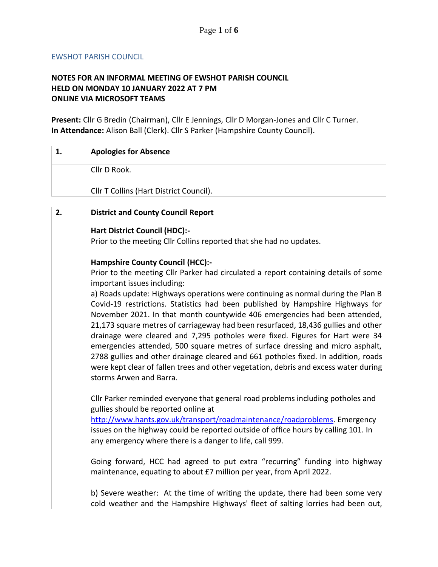## EWSHOT PARISH COUNCIL

## **NOTES FOR AN INFORMAL MEETING OF EWSHOT PARISH COUNCIL HELD ON MONDAY 10 JANUARY 2022 AT 7 PM ONLINE VIA MICROSOFT TEAMS**

**Present:** Cllr G Bredin (Chairman), Cllr E Jennings, Cllr D Morgan-Jones and Cllr C Turner. **In Attendance:** Alison Ball (Clerk). Cllr S Parker (Hampshire County Council).

| 1. | <b>Apologies for Absence</b>            |
|----|-----------------------------------------|
|    |                                         |
|    | Cllr D Rook.                            |
|    |                                         |
|    | Cllr T Collins (Hart District Council). |
|    |                                         |
|    |                                         |

| 2. | <b>District and County Council Report</b>                                                                                                                                                                                                                                                                                                  |
|----|--------------------------------------------------------------------------------------------------------------------------------------------------------------------------------------------------------------------------------------------------------------------------------------------------------------------------------------------|
|    | <b>Hart District Council (HDC):-</b>                                                                                                                                                                                                                                                                                                       |
|    | Prior to the meeting Cllr Collins reported that she had no updates.                                                                                                                                                                                                                                                                        |
|    | <b>Hampshire County Council (HCC):-</b>                                                                                                                                                                                                                                                                                                    |
|    | Prior to the meeting Cllr Parker had circulated a report containing details of some<br>important issues including:                                                                                                                                                                                                                         |
|    | a) Roads update: Highways operations were continuing as normal during the Plan B<br>Covid-19 restrictions. Statistics had been published by Hampshire Highways for<br>November 2021. In that month countywide 406 emergencies had been attended,                                                                                           |
|    | 21,173 square metres of carriageway had been resurfaced, 18,436 gullies and other<br>drainage were cleared and 7,295 potholes were fixed. Figures for Hart were 34<br>emergencies attended, 500 square metres of surface dressing and micro asphalt,<br>2788 gullies and other drainage cleared and 661 potholes fixed. In addition, roads |
|    | were kept clear of fallen trees and other vegetation, debris and excess water during<br>storms Arwen and Barra.                                                                                                                                                                                                                            |
|    | Cllr Parker reminded everyone that general road problems including potholes and<br>gullies should be reported online at                                                                                                                                                                                                                    |
|    | http://www.hants.gov.uk/transport/roadmaintenance/roadproblems. Emergency<br>issues on the highway could be reported outside of office hours by calling 101. In                                                                                                                                                                            |
|    | any emergency where there is a danger to life, call 999.                                                                                                                                                                                                                                                                                   |
|    | Going forward, HCC had agreed to put extra "recurring" funding into highway<br>maintenance, equating to about £7 million per year, from April 2022.                                                                                                                                                                                        |
|    | b) Severe weather: At the time of writing the update, there had been some very<br>cold weather and the Hampshire Highways' fleet of salting lorries had been out,                                                                                                                                                                          |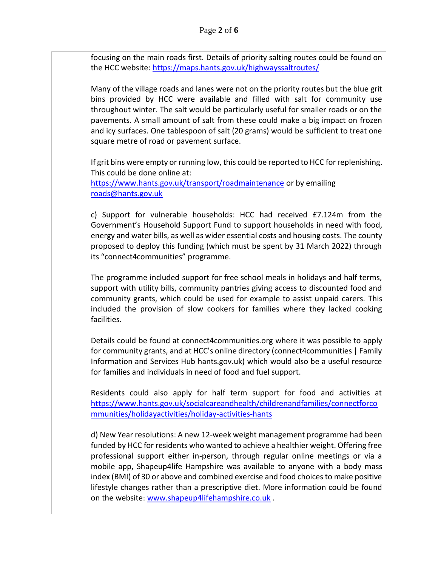focusing on the main roads first. Details of priority salting routes could be found on the HCC website: <https://maps.hants.gov.uk/highwayssaltroutes/>

Many of the village roads and lanes were not on the priority routes but the blue grit bins provided by HCC were available and filled with salt for community use throughout winter. The salt would be particularly useful for smaller roads or on the pavements. A small amount of salt from these could make a big impact on frozen and icy surfaces. One tablespoon of salt (20 grams) would be sufficient to treat one square metre of road or pavement surface.

If grit bins were empty or running low, this could be reported to HCC for replenishing. This could be done online at:

<https://www.hants.gov.uk/transport/roadmaintenance> or by emailing [roads@hants.gov.uk](mailto:roads@hants.gov.uk) 

c) Support for vulnerable households: HCC had received £7.124m from the Government's Household Support Fund to support households in need with food, energy and water bills, as well as wider essential costs and housing costs. The county proposed to deploy this funding (which must be spent by 31 March 2022) through its "connect4communities" programme.

The programme included support for free school meals in holidays and half terms, support with utility bills, community pantries giving access to discounted food and community grants, which could be used for example to assist unpaid carers. This included the provision of slow cookers for families where they lacked cooking facilities.

Details could be found at connect4communities.org where it was possible to apply for community grants, and at HCC's online directory (connect4communities | Family Information and Services Hub hants.gov.uk) which would also be a useful resource for families and individuals in need of food and fuel support.

Residents could also apply for half term support for food and activities at [https://www.hants.gov.uk/socialcareandhealth/childrenandfamilies/connectforco](https://www.hants.gov.uk/socialcareandhealth/childrenandfamilies/connectforcommunities/holidayactivities/holiday-activities-hants) [mmunities/holidayactivities/holiday-activities-hants](https://www.hants.gov.uk/socialcareandhealth/childrenandfamilies/connectforcommunities/holidayactivities/holiday-activities-hants)

d) New Year resolutions: A new 12-week weight management programme had been funded by HCC for residents who wanted to achieve a healthier weight. Offering free professional support either in-person, through regular online meetings or via a mobile app, Shapeup4life Hampshire was available to anyone with a body mass index (BMI) of 30 or above and combined exercise and food choices to make positive lifestyle changes rather than a prescriptive diet. More information could be found on the website: [www.shapeup4lifehampshire.co.uk](http://www.shapeup4lifehampshire.co.uk/) .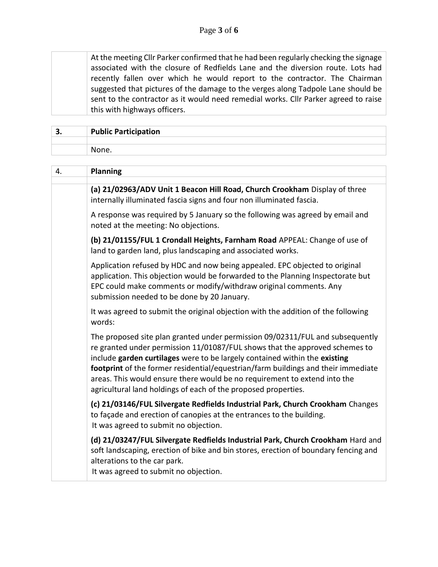At the meeting Cllr Parker confirmed that he had been regularly checking the signage associated with the closure of Redfields Lane and the diversion route. Lots had recently fallen over which he would report to the contractor. The Chairman suggested that pictures of the damage to the verges along Tadpole Lane should be sent to the contractor as it would need remedial works. Cllr Parker agreed to raise this with highways officers.

| -<br>، ب | <b>Public Participation</b> |
|----------|-----------------------------|
|          |                             |
|          | None.                       |

| 4. | Planning                                                                                                                                                                                                                                                                                                                                                                                                                                                                       |
|----|--------------------------------------------------------------------------------------------------------------------------------------------------------------------------------------------------------------------------------------------------------------------------------------------------------------------------------------------------------------------------------------------------------------------------------------------------------------------------------|
|    | (a) 21/02963/ADV Unit 1 Beacon Hill Road, Church Crookham Display of three<br>internally illuminated fascia signs and four non illuminated fascia.                                                                                                                                                                                                                                                                                                                             |
|    | A response was required by 5 January so the following was agreed by email and<br>noted at the meeting: No objections.                                                                                                                                                                                                                                                                                                                                                          |
|    | (b) 21/01155/FUL 1 Crondall Heights, Farnham Road APPEAL: Change of use of<br>land to garden land, plus landscaping and associated works.                                                                                                                                                                                                                                                                                                                                      |
|    | Application refused by HDC and now being appealed. EPC objected to original<br>application. This objection would be forwarded to the Planning Inspectorate but<br>EPC could make comments or modify/withdraw original comments. Any<br>submission needed to be done by 20 January.                                                                                                                                                                                             |
|    | It was agreed to submit the original objection with the addition of the following<br>words:                                                                                                                                                                                                                                                                                                                                                                                    |
|    | The proposed site plan granted under permission 09/02311/FUL and subsequently<br>re granted under permission 11/01087/FUL shows that the approved schemes to<br>include garden curtilages were to be largely contained within the existing<br>footprint of the former residential/equestrian/farm buildings and their immediate<br>areas. This would ensure there would be no requirement to extend into the<br>agricultural land holdings of each of the proposed properties. |
|    | (c) 21/03146/FUL Silvergate Redfields Industrial Park, Church Crookham Changes<br>to façade and erection of canopies at the entrances to the building.<br>It was agreed to submit no objection.                                                                                                                                                                                                                                                                                |
|    | (d) 21/03247/FUL Silvergate Redfields Industrial Park, Church Crookham Hard and<br>soft landscaping, erection of bike and bin stores, erection of boundary fencing and<br>alterations to the car park.<br>It was agreed to submit no objection.                                                                                                                                                                                                                                |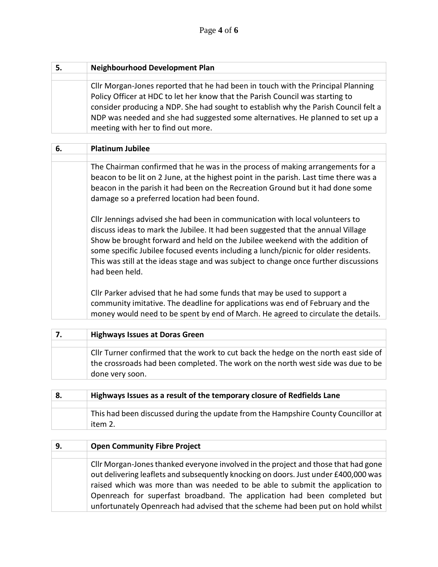| <b>Neighbourhood Development Plan</b>                                               |
|-------------------------------------------------------------------------------------|
|                                                                                     |
| Cllr Morgan-Jones reported that he had been in touch with the Principal Planning    |
| Policy Officer at HDC to let her know that the Parish Council was starting to       |
| consider producing a NDP. She had sought to establish why the Parish Council felt a |
| NDP was needed and she had suggested some alternatives. He planned to set up a      |
| meeting with her to find out more.                                                  |

| 6. | <b>Platinum Jubilee</b>                                                                                                                                                                                                                                                                                                                                                                                                                          |
|----|--------------------------------------------------------------------------------------------------------------------------------------------------------------------------------------------------------------------------------------------------------------------------------------------------------------------------------------------------------------------------------------------------------------------------------------------------|
|    |                                                                                                                                                                                                                                                                                                                                                                                                                                                  |
|    | The Chairman confirmed that he was in the process of making arrangements for a<br>beacon to be lit on 2 June, at the highest point in the parish. Last time there was a<br>beacon in the parish it had been on the Recreation Ground but it had done some<br>damage so a preferred location had been found.                                                                                                                                      |
|    | Cllr Jennings advised she had been in communication with local volunteers to<br>discuss ideas to mark the Jubilee. It had been suggested that the annual Village<br>Show be brought forward and held on the Jubilee weekend with the addition of<br>some specific Jubilee focused events including a lunch/picnic for older residents.<br>This was still at the ideas stage and was subject to change once further discussions<br>had been held. |
|    | Cllr Parker advised that he had some funds that may be used to support a<br>community imitative. The deadline for applications was end of February and the<br>money would need to be spent by end of March. He agreed to circulate the details.                                                                                                                                                                                                  |

| 7. | <b>Highways Issues at Doras Green</b>                                                                                                                                                      |
|----|--------------------------------------------------------------------------------------------------------------------------------------------------------------------------------------------|
|    |                                                                                                                                                                                            |
|    | Cllr Turner confirmed that the work to cut back the hedge on the north east side of<br>the crossroads had been completed. The work on the north west side was due to be<br>done very soon. |

| 8. | Highways Issues as a result of the temporary closure of Redfields Lane                       |
|----|----------------------------------------------------------------------------------------------|
|    |                                                                                              |
|    | This had been discussed during the update from the Hampshire County Councillor at<br>item 2. |

| 9. | <b>Open Community Fibre Project</b>                                                                                                                                                                                                                                                                                                     |
|----|-----------------------------------------------------------------------------------------------------------------------------------------------------------------------------------------------------------------------------------------------------------------------------------------------------------------------------------------|
|    |                                                                                                                                                                                                                                                                                                                                         |
|    | Cllr Morgan-Jones thanked everyone involved in the project and those that had gone<br>out delivering leaflets and subsequently knocking on doors. Just under £400,000 was<br>raised which was more than was needed to be able to submit the application to<br>Openreach for superfast broadband. The application had been completed but |
|    | unfortunately Openreach had advised that the scheme had been put on hold whilst                                                                                                                                                                                                                                                         |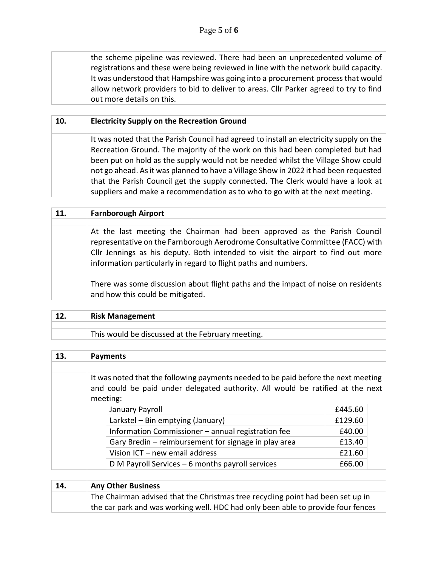the scheme pipeline was reviewed. There had been an unprecedented volume of registrations and these were being reviewed in line with the network build capacity. It was understood that Hampshire was going into a procurement process that would allow network providers to bid to deliver to areas. Cllr Parker agreed to try to find out more details on this.

| 10. | <b>Electricity Supply on the Recreation Ground</b>                                                                                                                                                                                                         |
|-----|------------------------------------------------------------------------------------------------------------------------------------------------------------------------------------------------------------------------------------------------------------|
|     | It was noted that the Parish Council had agreed to install an electricity supply on the                                                                                                                                                                    |
|     | Recreation Ground. The majority of the work on this had been completed but had<br>been put on hold as the supply would not be needed whilst the Village Show could<br>not go ahead. As it was planned to have a Village Show in 2022 it had been requested |
|     | that the Parish Council get the supply connected. The Clerk would have a look at<br>suppliers and make a recommendation as to who to go with at the next meeting.                                                                                          |

| <b>11.</b> | <b>Farnborough Airport</b>                                                                                                                                                                                                                                                                                        |
|------------|-------------------------------------------------------------------------------------------------------------------------------------------------------------------------------------------------------------------------------------------------------------------------------------------------------------------|
|            |                                                                                                                                                                                                                                                                                                                   |
|            | At the last meeting the Chairman had been approved as the Parish Council<br>representative on the Farnborough Aerodrome Consultative Committee (FACC) with<br>Cllr Jennings as his deputy. Both intended to visit the airport to find out more<br>information particularly in regard to flight paths and numbers. |
|            | There was some discussion about flight paths and the impact of noise on residents<br>and how this could be mitigated.                                                                                                                                                                                             |

| <b>Risk Management</b>                           |
|--------------------------------------------------|
|                                                  |
| This would be discussed at the February meeting. |

| 13. | <b>Payments</b>                                                                            |                                                      |         |  |
|-----|--------------------------------------------------------------------------------------------|------------------------------------------------------|---------|--|
|     |                                                                                            |                                                      |         |  |
|     | It was noted that the following payments needed to be paid before the next meeting         |                                                      |         |  |
|     | and could be paid under delegated authority. All would be ratified at the next<br>meeting: |                                                      |         |  |
|     |                                                                                            |                                                      |         |  |
|     |                                                                                            | January Payroll                                      | £445.60 |  |
|     |                                                                                            | Larkstel - Bin emptying (January)                    | £129.60 |  |
|     |                                                                                            | Information Commissioner - annual registration fee   | £40.00  |  |
|     |                                                                                            | Gary Bredin - reimbursement for signage in play area | £13.40  |  |
|     |                                                                                            | Vision ICT - new email address                       | £21.60  |  |
|     |                                                                                            | D M Payroll Services $-6$ months payroll services    | £66.00  |  |

| 14. | <b>Any Other Business</b>                                                        |
|-----|----------------------------------------------------------------------------------|
|     | The Chairman advised that the Christmas tree recycling point had been set up in  |
|     | the car park and was working well. HDC had only been able to provide four fences |